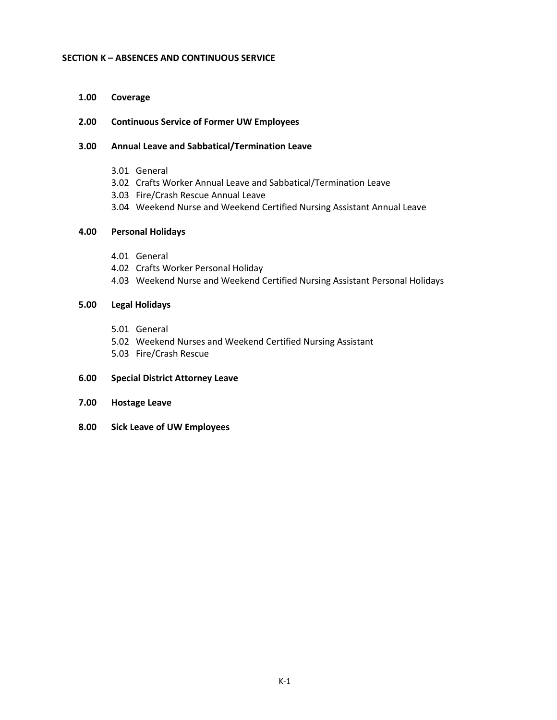### **SECTION K – ABSENCES AND CONTINUOUS SERVICE**

**1.00 Coverage**

## **2.00 Continuous Service of Former UW Employees**

## **3.00 Annual Leave and Sabbatical/Termination Leave**

- 3.01 General
- 3.02 Crafts Worker Annual Leave and Sabbatical/Termination Leave
- 3.03 Fire/Crash Rescue Annual Leave
- 3.04 Weekend Nurse and Weekend Certified Nursing Assistant Annual Leave

## **4.00 Personal Holidays**

- 4.01 General
- 4.02 Crafts Worker Personal Holiday
- 4.03 Weekend Nurse and Weekend Certified Nursing Assistant Personal Holidays

## **5.00 Legal Holidays**

- 5.01 General
- 5.02 Weekend Nurses and Weekend Certified Nursing Assistant
- 5.03 Fire/Crash Rescue

## **6.00 Special District Attorney Leave**

- **7.00 Hostage Leave**
- **8.00 Sick Leave of UW Employees**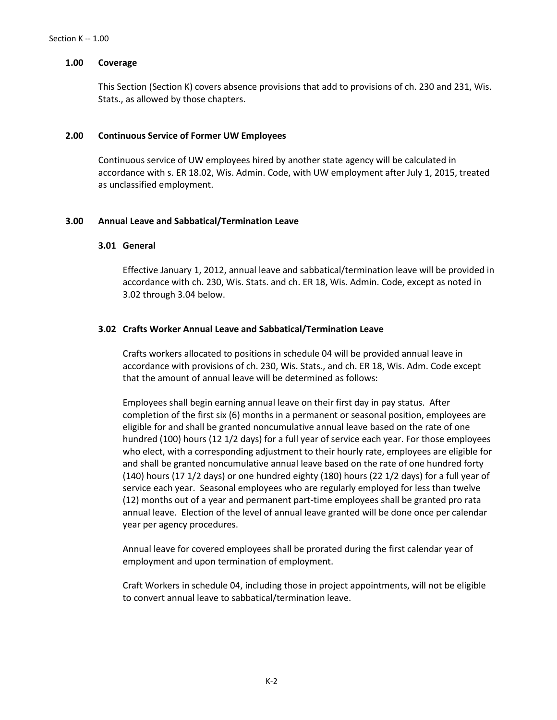### **1.00 Coverage**

This Section (Section K) covers absence provisions that add to provisions of ch. 230 and 231, Wis. Stats., as allowed by those chapters.

#### **2.00 Continuous Service of Former UW Employees**

Continuous service of UW employees hired by another state agency will be calculated in accordance with s. ER 18.02, Wis. Admin. Code, with UW employment after July 1, 2015, treated as unclassified employment.

### **3.00 Annual Leave and Sabbatical/Termination Leave**

# **3.01 General**

Effective January 1, 2012, annual leave and sabbatical/termination leave will be provided in accordance with ch. 230, Wis. Stats. and ch. ER 18, Wis. Admin. Code, except as noted in 3.02 through 3.04 below.

### **3.02 Crafts Worker Annual Leave and Sabbatical/Termination Leave**

Crafts workers allocated to positions in schedule 04 will be provided annual leave in accordance with provisions of ch. 230, Wis. Stats., and ch. ER 18, Wis. Adm. Code except that the amount of annual leave will be determined as follows:

Employees shall begin earning annual leave on their first day in pay status. After completion of the first six (6) months in a permanent or seasonal position, employees are eligible for and shall be granted noncumulative annual leave based on the rate of one hundred (100) hours (12 1/2 days) for a full year of service each year. For those employees who elect, with a corresponding adjustment to their hourly rate, employees are eligible for and shall be granted noncumulative annual leave based on the rate of one hundred forty (140) hours (17 1/2 days) or one hundred eighty (180) hours (22 1/2 days) for a full year of service each year. Seasonal employees who are regularly employed for less than twelve (12) months out of a year and permanent part-time employees shall be granted pro rata annual leave. Election of the level of annual leave granted will be done once per calendar year per agency procedures.

Annual leave for covered employees shall be prorated during the first calendar year of employment and upon termination of employment.

Craft Workers in schedule 04, including those in project appointments, will not be eligible to convert annual leave to sabbatical/termination leave.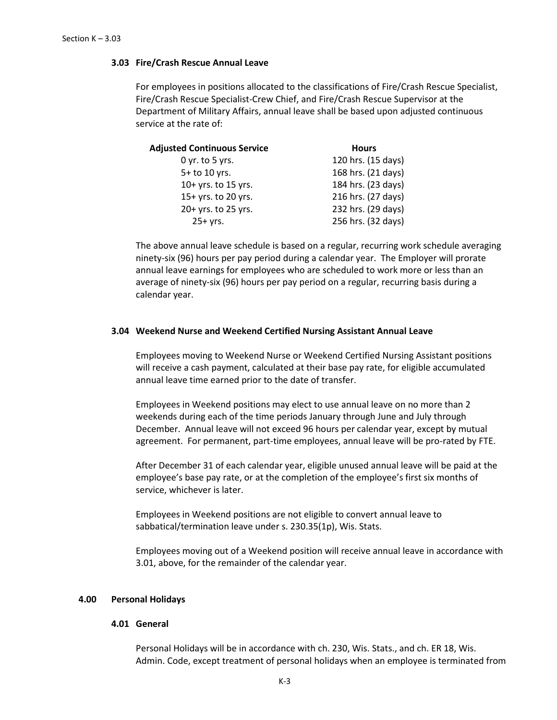## **3.03 Fire/Crash Rescue Annual Leave**

For employees in positions allocated to the classifications of Fire/Crash Rescue Specialist, Fire/Crash Rescue Specialist-Crew Chief, and Fire/Crash Rescue Supervisor at the Department of Military Affairs, annual leave shall be based upon adjusted continuous service at the rate of:

| <b>Adjusted Continuous Service</b> | <b>Hours</b>       |
|------------------------------------|--------------------|
| $0$ yr. to 5 yrs.                  | 120 hrs. (15 days) |
| 5+ to 10 yrs.                      | 168 hrs. (21 days) |
| 10+ yrs. to 15 yrs.                | 184 hrs. (23 days) |
| 15+ yrs. to 20 yrs.                | 216 hrs. (27 days) |
| 20+ yrs. to 25 yrs.                | 232 hrs. (29 days) |
| $25+yrs.$                          | 256 hrs. (32 days) |

The above annual leave schedule is based on a regular, recurring work schedule averaging ninety-six (96) hours per pay period during a calendar year. The Employer will prorate annual leave earnings for employees who are scheduled to work more or less than an average of ninety-six (96) hours per pay period on a regular, recurring basis during a calendar year.

## **3.04 Weekend Nurse and Weekend Certified Nursing Assistant Annual Leave**

Employees moving to Weekend Nurse or Weekend Certified Nursing Assistant positions will receive a cash payment, calculated at their base pay rate, for eligible accumulated annual leave time earned prior to the date of transfer.

Employees in Weekend positions may elect to use annual leave on no more than 2 weekends during each of the time periods January through June and July through December. Annual leave will not exceed 96 hours per calendar year, except by mutual agreement. For permanent, part-time employees, annual leave will be pro-rated by FTE.

After December 31 of each calendar year, eligible unused annual leave will be paid at the employee's base pay rate, or at the completion of the employee's first six months of service, whichever is later.

Employees in Weekend positions are not eligible to convert annual leave to sabbatical/termination leave under s. 230.35(1p), Wis. Stats.

Employees moving out of a Weekend position will receive annual leave in accordance with 3.01, above, for the remainder of the calendar year.

## **4.00 Personal Holidays**

### **4.01 General**

Personal Holidays will be in accordance with ch. 230, Wis. Stats., and ch. ER 18, Wis. Admin. Code, except treatment of personal holidays when an employee is terminated from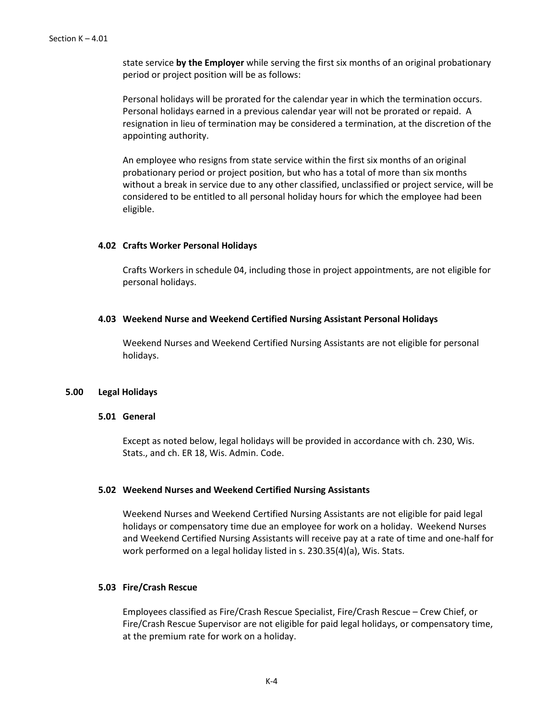state service **by the Employer** while serving the first six months of an original probationary period or project position will be as follows:

Personal holidays will be prorated for the calendar year in which the termination occurs. Personal holidays earned in a previous calendar year will not be prorated or repaid. A resignation in lieu of termination may be considered a termination, at the discretion of the appointing authority.

An employee who resigns from state service within the first six months of an original probationary period or project position, but who has a total of more than six months without a break in service due to any other classified, unclassified or project service, will be considered to be entitled to all personal holiday hours for which the employee had been eligible.

### **4.02 Crafts Worker Personal Holidays**

Crafts Workers in schedule 04, including those in project appointments, are not eligible for personal holidays.

### **4.03 Weekend Nurse and Weekend Certified Nursing Assistant Personal Holidays**

Weekend Nurses and Weekend Certified Nursing Assistants are not eligible for personal holidays.

### **5.00 Legal Holidays**

### **5.01 General**

Except as noted below, legal holidays will be provided in accordance with ch. 230, Wis. Stats., and ch. ER 18, Wis. Admin. Code.

### **5.02 Weekend Nurses and Weekend Certified Nursing Assistants**

Weekend Nurses and Weekend Certified Nursing Assistants are not eligible for paid legal holidays or compensatory time due an employee for work on a holiday. Weekend Nurses and Weekend Certified Nursing Assistants will receive pay at a rate of time and one-half for work performed on a legal holiday listed in s. 230.35(4)(a), Wis. Stats.

### **5.03 Fire/Crash Rescue**

Employees classified as Fire/Crash Rescue Specialist, Fire/Crash Rescue – Crew Chief, or Fire/Crash Rescue Supervisor are not eligible for paid legal holidays, or compensatory time, at the premium rate for work on a holiday.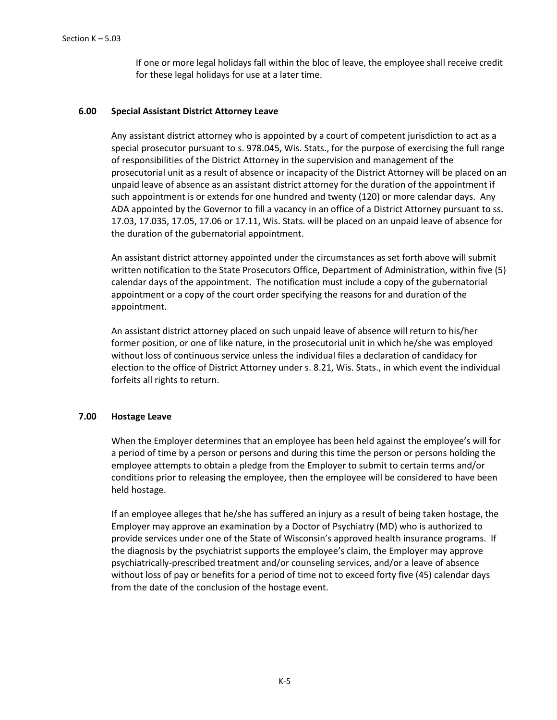If one or more legal holidays fall within the bloc of leave, the employee shall receive credit for these legal holidays for use at a later time.

## **6.00 Special Assistant District Attorney Leave**

Any assistant district attorney who is appointed by a court of competent jurisdiction to act as a special prosecutor pursuant to s. 978.045, Wis. Stats., for the purpose of exercising the full range of responsibilities of the District Attorney in the supervision and management of the prosecutorial unit as a result of absence or incapacity of the District Attorney will be placed on an unpaid leave of absence as an assistant district attorney for the duration of the appointment if such appointment is or extends for one hundred and twenty (120) or more calendar days. Any ADA appointed by the Governor to fill a vacancy in an office of a District Attorney pursuant to ss. 17.03, 17.035, 17.05, 17.06 or 17.11, Wis. Stats. will be placed on an unpaid leave of absence for the duration of the gubernatorial appointment.

An assistant district attorney appointed under the circumstances as set forth above will submit written notification to the State Prosecutors Office, Department of Administration, within five (5) calendar days of the appointment. The notification must include a copy of the gubernatorial appointment or a copy of the court order specifying the reasons for and duration of the appointment.

An assistant district attorney placed on such unpaid leave of absence will return to his/her former position, or one of like nature, in the prosecutorial unit in which he/she was employed without loss of continuous service unless the individual files a declaration of candidacy for election to the office of District Attorney under s. 8.21, Wis. Stats., in which event the individual forfeits all rights to return.

### **7.00 Hostage Leave**

When the Employer determines that an employee has been held against the employee's will for a period of time by a person or persons and during this time the person or persons holding the employee attempts to obtain a pledge from the Employer to submit to certain terms and/or conditions prior to releasing the employee, then the employee will be considered to have been held hostage.

If an employee alleges that he/she has suffered an injury as a result of being taken hostage, the Employer may approve an examination by a Doctor of Psychiatry (MD) who is authorized to provide services under one of the State of Wisconsin's approved health insurance programs. If the diagnosis by the psychiatrist supports the employee's claim, the Employer may approve psychiatrically-prescribed treatment and/or counseling services, and/or a leave of absence without loss of pay or benefits for a period of time not to exceed forty five (45) calendar days from the date of the conclusion of the hostage event.